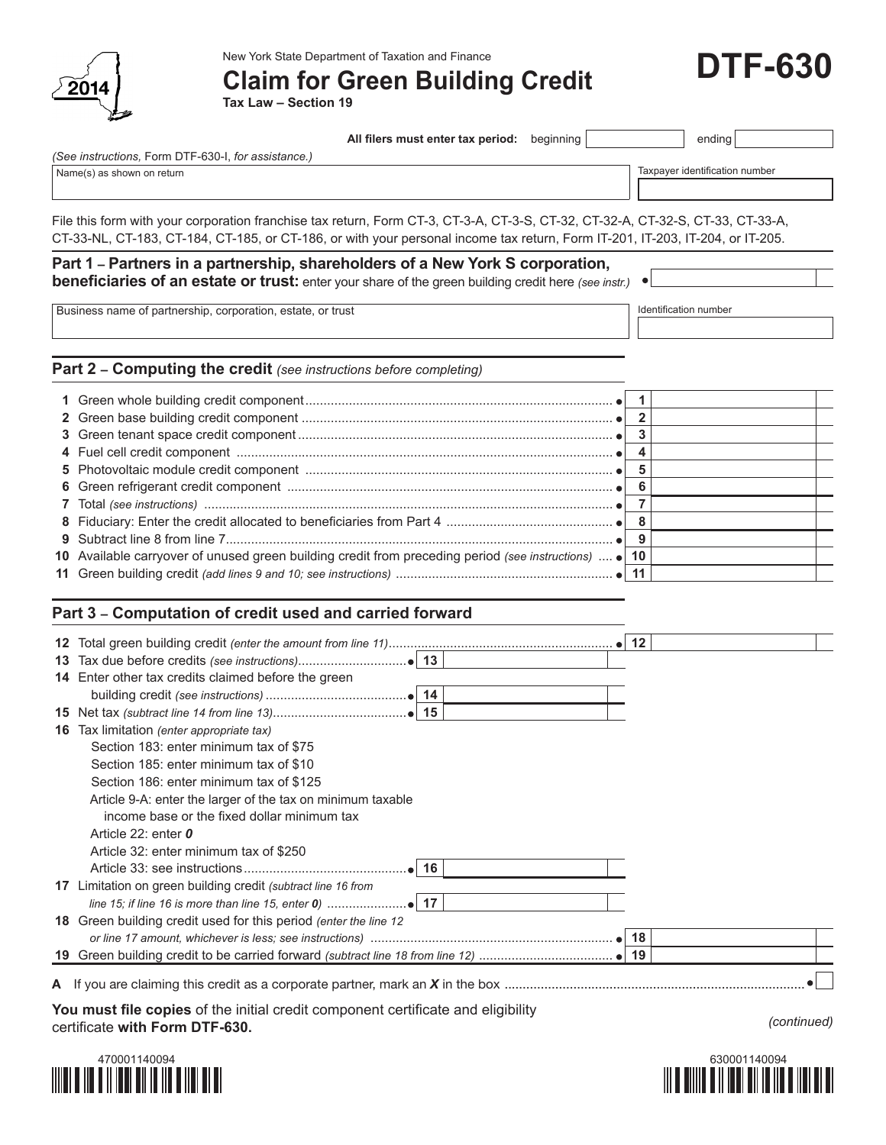

New York State Department of Taxation and Finance

**Claim for Green Building Credit**

**Tax Law – Section 19**

| All filers must enter tax period: | $begin{array}{c c c c} \nbeqinning \n\end{array}$ |  | ending |
|-----------------------------------|---------------------------------------------------|--|--------|
|-----------------------------------|---------------------------------------------------|--|--------|

*(See instructions,* Form DTF-630-I, *for assistance.)*

Name(s) as shown on return example of the state of the state of the state of the state of the state of the state of the state of the state of the state of the state of the state of the state of the state of the state of th

File this form with your corporation franchise tax return, Form CT-3, CT-3-A, CT-3-S, CT-32, CT-32-A, CT-32-S, CT-33, CT-33-A, CT-33-NL, CT-183, CT-184, CT-185, or CT-186, or with your personal income tax return, Form IT-201, IT-203, IT-204, or IT-205.

## **Part 1 – Partners in a partnership, shareholders of a New York S corporation, beneficiaries of an estate or trust:** enter your share of the green building credit here *(see instr.)*

Business name of partnership, corporation, estate, or trust Identification number

 $\bullet$ 

**Part 2 – Computing the credit** *(see instructions before completing)*

| 10 Available carryover of unused green building credit from preceding period (see instructions)  • 10 |  |  |
|-------------------------------------------------------------------------------------------------------|--|--|
|                                                                                                       |  |  |

## **Part 3 – Computation of credit used and carried forward**

|                                                                                  |  | $\bullet$ 12 |  |
|----------------------------------------------------------------------------------|--|--------------|--|
|                                                                                  |  |              |  |
| <b>14</b> Enter other tax credits claimed before the green                       |  |              |  |
|                                                                                  |  |              |  |
|                                                                                  |  |              |  |
| <b>16</b> Tax limitation (enter appropriate tax)                                 |  |              |  |
| Section 183: enter minimum tax of \$75                                           |  |              |  |
| Section 185: enter minimum tax of \$10                                           |  |              |  |
| Section 186: enter minimum tax of \$125                                          |  |              |  |
| Article 9-A: enter the larger of the tax on minimum taxable                      |  |              |  |
| income base or the fixed dollar minimum tax                                      |  |              |  |
| Article 22: enter 0                                                              |  |              |  |
| Article 32: enter minimum tax of \$250                                           |  |              |  |
|                                                                                  |  |              |  |
| 17 Limitation on green building credit (subtract line 16 from                    |  |              |  |
|                                                                                  |  |              |  |
| 18 Green building credit used for this period (enter the line 12                 |  |              |  |
|                                                                                  |  |              |  |
|                                                                                  |  |              |  |
|                                                                                  |  |              |  |
|                                                                                  |  |              |  |
| You must file copies of the initial credit component certificate and eligibility |  |              |  |

certificate **with Form DTF-630.** *(continued)*





**DTF-630**